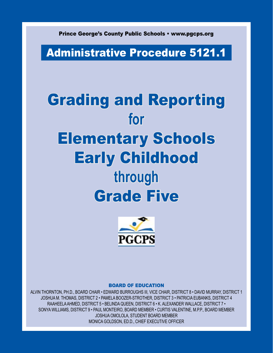Prince George's County Public Schools • www.pgcps.org

## Administrative Procedure 5121.1

# Grading and Reporting **for**  Elementary Schools Early Childhood **through**  Grade Five



#### Board of Education

Alvin Thornton, Ph.D., BOARD CHAIR • Edward Burroughs III, VICE CHAIR, DISTRICT 8 • DAVID MURRAY, DISTRICT 1 Joshua M. Thomas, DISTRICT 2 • Pamela Boozer-Strother, DISTRICT 3 • PATRICIA EUBANKS, DISTRICT 4 RAAHEELA AHMED, DISTRICT 5 • Belinda Queen, DISTRICT 6 • K. ALEXANDER WALLACE, DISTRICT 7 • SONYA WILLIAMS, DISTRICT 9 • Paul Monteiro, BOARD MEMBER • CURTIS VALENTINE, M.P.P., BOARD MEMBER Joshua Omolola, STUDENT BOARD MEMBER MONICA GOLDSON, ED.D., CHIEF EXECUTIVE OFFICER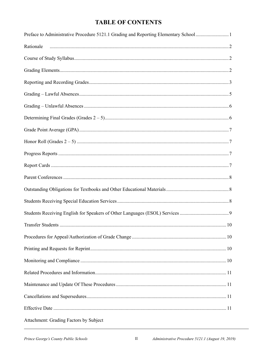#### **TABLE OF CONTENTS**

| Preface to Administrative Procedure 5121.1 Grading and Reporting Elementary School 1 |
|--------------------------------------------------------------------------------------|
| Rationale                                                                            |
|                                                                                      |
|                                                                                      |
|                                                                                      |
|                                                                                      |
|                                                                                      |
|                                                                                      |
|                                                                                      |
|                                                                                      |
|                                                                                      |
|                                                                                      |
|                                                                                      |
|                                                                                      |
|                                                                                      |
|                                                                                      |
|                                                                                      |
|                                                                                      |
|                                                                                      |
|                                                                                      |
|                                                                                      |
|                                                                                      |
|                                                                                      |
|                                                                                      |
|                                                                                      |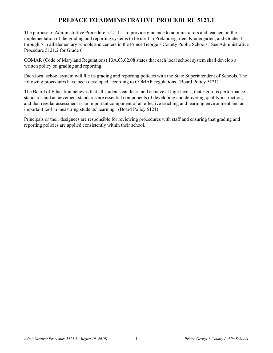#### **PREFACE TO ADMINISTRATIVE PROCEDURE 5121.1**

The purpose of Administrative Procedure 5121.1 is to provide guidance to administrators and teachers in the implementation of the grading and reporting systems to be used in Prekindergarten, Kindergarten, and Grades 1 through 5 in all elementary schools and centers in the Prince George's County Public Schools. See Administrative Procedure 5121.2 for Grade 6.

COMAR (Code of Maryland Regulations) 13A.03.02.08 states that each local school system shall develop a written policy on grading and reporting.

Each local school system will file its grading and reporting policies with the State Superintendent of Schools. The following procedures have been developed according to COMAR regulations. (Board Policy 5121)

The Board of Education believes that all students can learn and achieve at high levels, that rigorous performance standards and achievement standards are essential components of developing and delivering quality instruction, and that regular assessment is an important component of an effective teaching and learning environment and an important tool in measuring students' learning. (Board Policy 5121)

Principals or their designees are responsible for reviewing procedures with staff and ensuring that grading and reporting policies are applied consistently within their school.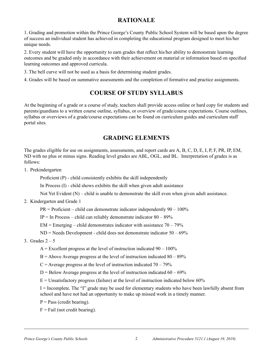#### **RATIONALE**

1. Grading and promotion within the Prince George's County Public School System will be based upon the degree of success an individual student has achieved in completing the educational program designed to meet his/her unique needs.

2. Every student will have the opportunity to earn grades that reflect his/her ability to demonstrate learning outcomes and be graded only in accordance with their achievement on material or information based on specified learning outcomes and approved curricula.

- 3. The bell curve will not be used as a basis for determining student grades.
- 4. Grades will be based on summative assessments and the completion of formative and practice assignments.

#### **COURSE OF STUDY syllabus**

At the beginning of a grade or a course of study, teachers shall provide access online or hard copy for students and parents/guardians to a written course outline, syllabus, or overview of grade/course expectations. Course outlines, syllabus or overviews of a grade/course expectations can be found on curriculum guides and curriculum staff portal sites.

#### **GRADING ELEMENTS**

The grades eligible for use on assignments, assessments, and report cards are A, B, C, D, E, I, P, F, PR, IP, EM, ND with no plus or minus signs. Reading level grades are ABL, OGL, and BL. Interpretation of grades is as follows:

1. Prekindergarten

Proficient (P) - child consistently exhibits the skill independently

In Process (I) - child shows exhibits the skill when given adult assistance

Not Yet Evident (N) – child is unable to demonstrate the skill even when given adult assistance.

2. Kindergarten and Grade 1

 $PR = \text{Profit} - \text{child}$  can demonstrate indicator independently  $90 - 100\%$ 

IP = In Process – child can reliably demonstrate indicator  $80 - 89\%$ 

 $EM = \text{Emerging} - \text{child demonstrates indicator with assistance } 70 - 79\%$ 

 $ND = N$ eeds Development - child does not demonstrate indicator  $50 - 69\%$ 

3. Grades  $2-5$ 

 $A =$  Excellent progress at the level of instruction indicated 90 – 100%

 $B =$  Above Average progress at the level of instruction indicated  $80 - 89\%$ 

 $C =$  Average progress at the level of instruction indicated  $70 - 79\%$ 

 $D =$  Below Average progress at the level of instruction indicated 60 – 69%

 $E =$  Unsatisfactory progress (failure) at the level of instruction indicated below 60%

I = Incomplete. The "I" grade may be used for elementary students who have been lawfully absent from school and have not had an opportunity to make up missed work in a timely manner.

 $P = Pass$  (credit bearing).

 $F =$ Fail (not credit bearing).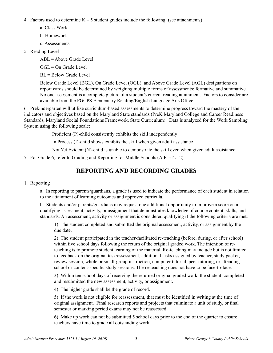4. Factors used to determine  $K - 5$  student grades include the following: (see attachments)

- a. Class Work
- b. Homework
- c. Assessments
- 5. Reading Level

ABL = Above Grade Level

 $OGL = On$  Grade Level

 $BL =$  Below Grade Level

Below Grade Level (BGL), On Grade Level (OGL), and Above Grade Level (AGL) designations on report cards should be determined by weighing multiple forms of assessments; formative and summative. No one assessment is a complete picture of a student's current reading attainment. Factors to consider are available from the PGCPS Elementary Reading/English Language Arts Office.

6. Prekindergarten will utilize curriculum-based assessments to determine progress toward the mastery of the indicators and objectives based on the Maryland State standards (PreK Maryland College and Career Readiness Standards, Maryland Social Foundations Framework, State Curriculum). Data is analyzed for the Work Sampling System using the following scale:

Proficient (P)-child consistently exhibits the skill independently

In Process (I)-child shows exhibits the skill when given adult assistance

Not Yet Evident (N)-child is unable to demonstrate the skill even when given adult assistance.

7. For Grade 6, refer to Grading and Reporting for Middle Schools (A.P. 5121.2).

#### **REPORTING AND RECORDING GRADES**

#### 1. Reporting

a. In reporting to parents/guardians, a grade is used to indicate the performance of each student in relation to the attainment of learning outcomes and approved curricula.

b. Students and/or parents/guardians may request one additional opportunity to improve a score on a qualifying assessment, activity, or assignment that demonstrates knowledge of course content, skills, and standards. An assessment, activity or assignment is considered qualifying if the following criteria are met:

1) The student completed and submitted the original assessment, activity, or assignment by the due date.

2) The student participated in the teacher-facilitated re-teaching (before, during, or after school) within five school days following the return of the original graded work. The intention of reteaching is to promote student learning of the material. Re-teaching may include but is not limited to feedback on the original task/assessment, additional tasks assigned by teacher, study packet, review session, whole or small-group instruction, computer tutorial, peer tutoring, or attending school or content-specific study sessions. The re-teaching does not have to be face-to-face.

3) Within ten school days of receiving the returned original graded work, the student completed and resubmitted the new assessment, activity, or assignment.

4) The higher grade shall be the grade of record.

5) If the work is not eligible for reassessment, that must be identified in writing at the time of original assignment. Final research reports and projects that culminate a unit of study, or final semester or marking period exams may not be reassessed.

6) Make up work can not be submitted 5 school days prior to the end of the quarter to ensure teachers have time to grade all outstanding work.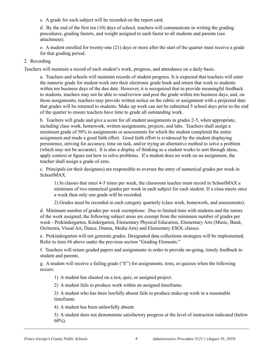c. A grade for each subject will be recorded on the report card.

d. By the end of the first ten (10) days of school, teachers will communicate in writing the grading procedures, grading factors, and weight assigned to each factor to all students and parents (see attachment).

e. A student enrolled for twenty-one (21) days or more after the start of the quarter must receive a grade for that grading period.

#### 2. Recording

Teachers will maintain a record of each student's work, progress, and attendance on a daily basis.

a. Teachers and schools will maintain records of student progress. It is expected that teachers will enter the numeric grade for student work into their electronic grade book and return that work to students within ten business days of the due date. However, it is recognized that to provide meaningful feedback to students, teachers may not be able to read/review and post the grade within ten business days, and, on those assignments, teachers may provide written notice on the rubric or assignment with a projected date that grades will be returned to students. Make up work can not be submitted 5 school days prior to the end of the quarter to ensure teachers have time to grade all outstanding work.

b. Teachers will grade and give a score for all student assignments in grades 2-5, when appropriate, including class work, homework, written assignments, projects, and labs. Teachers shall assign a minimum grade of 50% to assignments or assessments for which the student completed the entire assignment and made a good faith effort. Good faith effort is evidenced by the student displaying persistence, striving for accuracy, time on task, and/or trying an alternative method to solve a problem (which may not be accurate). It is also a display of thinking as a student works to sort through ideas, apply context or figure out how to solve problems. If a student does no work on an assignment, the teacher shall assign a grade of zero.

c. Principals (or their designees) are responsible to oversee the entry of numerical grades per week in SchoolMAX.

1) In classes that meet 4-5 times per week, the classroom teacher must record in SchoolMAX a minimum of two numerical grades per week in each subject for each student. If a class meets once a week then only one grade will be recorded.

2) Grades must be recorded in each category quarterly (class work, homework, and assessments).

d. Minimum number of grades per week exemptions: Due to limited time with students and the nature of the work assigned, the following subject areas are exempt from the minimum number of grades per week - Prekindergarten, Kindergarten, Elementary Physical Education, Elementary Arts (Music, Band, Orchestra, Visual Art, Dance, Drama, Media Arts) and Elementary ESOL classes.

e. Prekindergarten will not generate grades. Designated data collections strategies will be implemented. Refer to item #6 above under the previous section "Grading Elements."

f. Teachers will return graded papers and assignments in order to provide on-going, timely feedback to student and parents.

g. A student will receive a failing grade ("E") for assignments, tests, or quizzes when the following occurs:

1) A student has cheated on a test, quiz, or assigned project.

2) A student fails to produce work within an assigned timeframe.

3) A student who has been lawfully absent fails to produce make-up work in a reasonable timeframe.

4) A student has been unlawfully absent.

5) A student does not demonstrate satisfactory progress at the level of instruction indicated (below  $60\%$ ).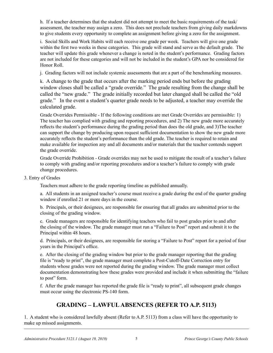h. If a teacher determines that the student did not attempt to meet the basic requirements of the task/ assessment, the teacher may assign a zero. This does not preclude teachers from giving daily markdowns to give students every opportunity to complete an assignment before giving a zero for the assignment.

i. Social Skills and Work Habits will each receive one grade per week. Teachers will give one grade within the first two weeks in these categories. This grade will stand and serve as the default grade. The teacher will update this grade whenever a change is noted in the student's performance. Grading factors are not included for these categories and will not be included in the student's GPA nor be considered for Honor Roll.

j. Grading factors will not include systemic assessments that are a part of the benchmarking measures.

k. A change to the grade that occurs after the marking period ends but before the grading window closes shall be called a "grade override." The grade resulting from the change shall be called the "new grade." The grade initially recorded but later changed shall be called the "old grade." In the event a student's quarter grade needs to be adjusted, a teacher may override the calculated grade.

Grade Overrides Permissible - If the following conditions are met Grade Overrides are permissible: 1) The teacher has complied with grading and reporting procedures, and 2) The new grade more accurately reflects the student's performance during the grading period than does the old grade, and 3)The teacher can support the change by producing upon request sufficient documentation to show the new grade more accurately reflects the student's performance than the old grade. The teacher is required to retain and make available for inspection any and all documents and/or materials that the teacher contends support the grade override.

Grade Override Prohibition - Grade overrides may not be used to mitigate the result of a teacher's failure to comply with grading and/or reporting procedures and/or a teacher's failure to comply with grade change procedures.

3. Entry of Grades

Teachers must adhere to the grade reporting timeline as published annually.

a. All students in an assigned teacher's course must receive a grade during the end of the quarter grading window if enrolled 21 or more days in the course.

b. Principals, or their designees, are responsible for ensuring that all grades are submitted prior to the closing of the grading window.

c. Grade managers are responsible for identifying teachers who fail to post grades prior to and after the closing of the window. The grade manager must run a "Failure to Post" report and submit it to the Principal within 48 hours.

d. Principals, or their designees, are responsible for storing a "Failure to Post" report for a period of four years in the Principal's office.

e. After the closing of the grading window but prior to the grade manager reporting that the grading file is "ready to print", the grade manager must complete a Post-Cutoff-Date Correction entry for students whose grades were not reported during the grading window. The grade manager must collect documentation demonstrating how these grades were provided and include it when submitting the "failure to post" form.

f. After the grade manager has reported the grade file is "ready to print", all subsequent grade changes must occur using the electronic PS-140 form.

#### **GRADING – LAWFUL ABSENCES (REFER TO A.P. 5113)**

1. A student who is considered lawfully absent (Refer to A.P. 5113) from a class will have the opportunity to make up missed assignments.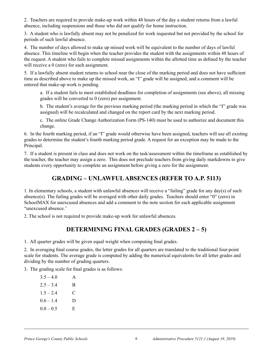2. Teachers are required to provide make-up work within 48 hours of the day a student returns from a lawful absence, including suspensions and those who did not qualify for home instruction.

3. A student who is lawfully absent may not be penalized for work requested but not provided by the school for periods of such lawful absence.

4. The number of days allowed to make up missed work will be equivalent to the number of days of lawful absence. This timeline will begin when the teacher provides the student with the assignments within 48 hours of the request. A student who fails to complete missed assignments within the allotted time as defined by the teacher will receive a 0 (zero) for each assignment.

5. If a lawfully absent student returns to school near the close of the marking period and does not have sufficient time as described above to make up the missed work, an "I" grade will be assigned, and a comment will be entered that make-up work is pending.

a. If a student fails to meet established deadlines for completion of assignments (see above), all missing grades will be converted to 0 (zero) per assignment.

b. The student's average for the previous marking period (the marking period in which the "I" grade was assigned) will be recalculated and changed on the report card by the next marking period.

c. The online Grade Change Authorization Form (PS-140) must be used to authorize and document this change.

6. In the fourth marking period, if an "I" grade would otherwise have been assigned, teachers will use all existing grades to determine the student's fourth marking period grade. A request for an exception may be made to the Principal.

7. If a student is present in class and does not work on the task/assessment within the timeframe as established by the teacher, the teacher may assign a zero. This does not preclude teachers from giving daily markdowns to give students every opportunity to complete an assignment before giving a zero for the assignment.

#### **GRADING – UNLAWFUL ABSENCES (REFER TO A.P. 5113)**

1. In elementary schools, a student with unlawful absences will receive a "failing" grade for any day(s) of such absence(s). The failing grades will be averaged with other daily grades. Teachers should enter "0" (zero) in SchoolMAX for unexcused absences and add a comment to the note section for each applicable assignment "unexcused absence."

2. The school is not required to provide make-up work for unlawful absences.

#### **DETERMINING FINAL GRADES (GRADES 2 – 5)**

1. All quarter grades will be given equal weight when computing final grades.

2. In averaging final course grades, the letter grades for all quarters are translated to the traditional four-point scale for students. The average grade is computed by adding the numerical equivalents for all letter grades and dividing by the number of grading quarters.

3. The grading scale for final grades is as follows:

| $3.5 - 4.0$ | A |
|-------------|---|
| $2.5 - 3.4$ | B |
| $1.5 - 2.4$ | C |
| $0.6 - 1.4$ | D |
| $0.0 - 0.5$ | E |
|             |   |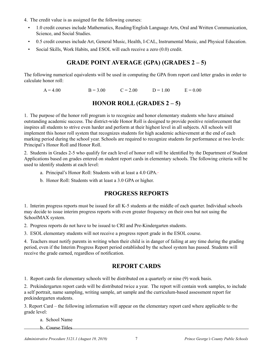- 4. The credit value is as assigned for the following courses:
	- 1.0 credit courses include Mathematics, Reading/English Language Arts, Oral and Written Communication, Science, and Social Studies.
	- 0.5 credit courses include Art, General Music, Health, I-CAL, Instrumental Music, and Physical Education.
	- Social Skills, Work Habits, and ESOL will each receive a zero (0.0) credit.

#### **Grade Point Average (GPA) (GRADES 2 – 5)**

The following numerical equivalents will be used in computing the GPA from report card letter grades in order to calculate honor roll:

 $A = 4.00$   $B = 3.00$   $C = 2.00$   $D = 1.00$   $E = 0.00$ 

#### **HONOR ROLL (GRADES 2 – 5)**

1. The purpose of the honor roll program is to recognize and honor elementary students who have attained outstanding academic success. The district-wide Honor Roll is designed to provide positive reinforcement that inspires all students to strive even harder and perform at their highest level in all subjects. All schools will implement this honor roll system that recognizes students for high academic achievement at the end of each marking period during the school year. Schools are required to recognize students for performance at two levels: Principal's Honor Roll and Honor Roll.

2. Students in Grades 2-5 who qualify for each level of honor roll will be identified by the Department of Student Applications based on grades entered on student report cards in elementary schools. The following criteria will be used to identify students at each level:

- a. Principal's Honor Roll: Students with at least a 4.0 GPA.
- b. Honor Roll: Students with at least a 3.0 GPA or higher.

#### **PROGRESS REPORTS**

1. Interim progress reports must be issued for all K-5 students at the middle of each quarter. Individual schools may decide to issue interim progress reports with even greater frequency on their own but not using the SchoolMAX system.

2. Progress reports do not have to be issued to CRI and Pre-Kindergarten students.

3. ESOL elementary students will not receive a progress report grade in the ESOL course.

4. Teachers must notify parents in writing when their child is in danger of failing at any time during the grading period, even if the Interim Progress Report period established by the school system has passed. Students will receive the grade earned, regardless of notification.

#### **REPORT CARDS**

1. Report cards for elementary schools will be distributed on a quarterly or nine (9) week basis.

2. Prekindergarten report cards will be distributed twice a year. The report will contain work samples, to include a self portrait, name sampling, writing sample, art sample and the curriculum-based assessment report for prekindergarten students.

3. Report Card – the following information will appear on the elementary report card where applicable to the grade level:

a. School Name

b. Course Titles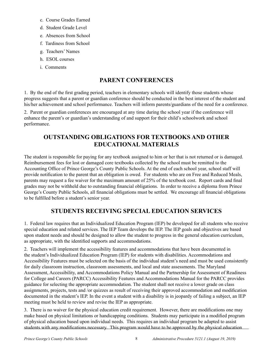- c. Course Grades Earned
- d. Student Grade Level
- e. Absences from School
- f. Tardiness from School
- g. Teachers' Names
- h. ESOL courses
- i. Comments

#### **PARENT CONFERENCES**

1. By the end of the first grading period, teachers in elementary schools will identify those students whose progress suggests that a parent or guardian conference should be conducted in the best interest of the student and his/her achievement and school performance. Teachers will inform parents/guardians of the need for a conference.

2. Parent or guardian conferences are encouraged at any time during the school year if the conference will enhance the parent's or guardian's understanding of and support for their child's schoolwork and school performance.

#### **OUTSTANDING OBLIGATIONS FOR TEXTBOOKS AND OTHER EDUCATIONAL MATERIALS**

The student is responsible for paying for any textbook assigned to him or her that is not returned or is damaged. Reimbursement fees for lost or damaged core textbooks collected by the school must be remitted to the Accounting Office of Prince George's County Public Schools. At the end of each school year, school staff will provide notification to the parent that an obligation is owed. For students who are on Free and Reduced Meals, parents may request a fee waiver for the maximum amount of 25% of the textbook cost. Report cards and final grades may not be withheld due to outstanding financial obligations. In order to receive a diploma from Prince George's County Public Schools, all financial obligations must be settled. We encourage all financial obligations to be fulfilled before a student's senior year.

#### **STUDENTS RECEIVING SPECIAL EDUCATION SERVICES**

1. Federal law requires that an Individualized Education Program (IEP) be developed for all students who receive special education and related services. The IEP Team develops the IEP. The IEP goals and objectives are based upon student needs and should be designed to allow the student to progress in the general education curriculum, as appropriate, with the identified supports and accommodations.

2. Teachers will implement the accessibility features and accommodations that have been documented in the student's Individualized Education Program (IEP) for students with disabilities. Accommodations and Accessibility Features must be selected on the basis of the individual student's need and must be used consistently for daily classroom instruction, classroom assessments, and local and state assessments. The Maryland Assessment, Accessibility, and Accommodations Policy Manual and the Partnership for Assessment of Readiness for College and Careers (PARCC) Accessibility Features and Accommodations Manual for the PARCC provides guidance for selecting the appropriate accommodation. The student shall not receive a lower grade on class assignments, projects, tests and /or quizzes as result of receiving their approved accommodation and modification documented in the student's IEP. In the event a student with a disability is in jeopardy of failing a subject, an IEP meeting must be held to review and revise the IEP as appropriate.

3. There is no waiver for the physical education credit requirement. However, there are modifications one may make based on physical limitations or handicapping conditions. Students may participate in a modified program of physical education based upon individual needs. This requires an individual program be adapted to assist students with any modifications necessary. This program would have to be approved by the physical education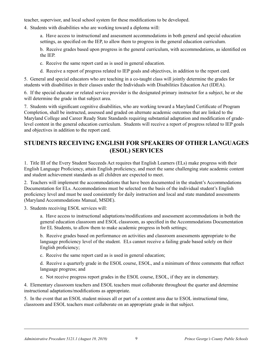teacher, supervisor, and local school system for these modifications to be developed.

4. Students with disabilities who are working toward a diploma will:

a. Have access to instructional and assessment accommodations in both general and special education settings, as specified on the IEP, to allow them to progress in the general education curriculum.

b. Receive grades based upon progress in the general curriculum, with accommodations, as identified on the IEP.

c. Receive the same report card as is used in general education.

d. Receive a report of progress related to IEP goals and objectives, in addition to the report card.

5. General and special educators who are teaching in a co-taught class will jointly determine the grades for students with disabilities in their classes under the Individuals with Disabilities Education Act (IDEA).

6. If the special educator or related service provider is the designated primary instructor for a subject, he or she will determine the grade in that subject area.

7. Students with significant cognitive disabilities, who are working toward a Maryland Certificate of Program Completion, shall be instructed, assessed and graded on alternate academic outcomes that are linked to the Maryland College and Career Ready State Standards requiring substantial adaptation and modification of gradelevel content in the general education curriculum. Students will receive a report of progress related to IEP goals and objectives in addition to the report card.

#### **STUDENTS RECEIVING ENGLISH FOR SPEAKERS OF OTHER LANGUAGES (ESOL) SERVICES**

1. Title III of the Every Student Succeeds Act requires that English Learners (ELs) make progress with their English Language Proficiency, attain English proficiency, and meet the same challenging state academic content and student achievement standards as all children are expected to meet.

2. Teachers will implement the accommodations that have been documented in the student's Accommodations Documentation for ELs. Accommodations must be selected on the basis of the individual student's English proficiency level and must be used consistently for daily instruction and local and state mandated assessments (Maryland Accommodations Manual, MSDE).

3. Students receiving ESOL services will:

a. Have access to instructional adaptations/modifications and assessment accommodations in both the general education classroom and ESOL classroom, as specified in the Accommodations Documentation for EL Students, to allow them to make academic progress in both settings;

b. Receive grades based on performance on activities and classroom assessments appropriate to the language proficiency level of the student. ELs cannot receive a failing grade based solely on their English proficiency;

c. Receive the same report card as is used in general education;

d. Receive a quarterly grade in the ESOL course, ESOL, and a minimum of three comments that reflect language progress; and

e. Not receive progress report grades in the ESOL course, ESOL, if they are in elementary.

4. Elementary classroom teachers and ESOL teachers must collaborate throughout the quarter and determine instructional adaptations/modifications as appropriate.

5. In the event that an ESOL student misses all or part of a content area due to ESOL instructional time, classroom and ESOL teachers must collaborate on an appropriate grade in that subject.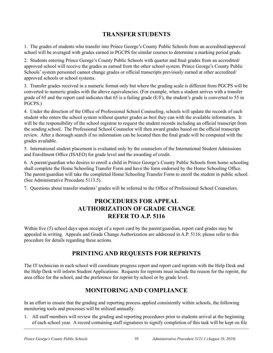#### **TRANSFER STUDENTS**

1. The grades of students who transfer into Prince George's County Public Schools from an accredited/approved school will be averaged with grades earned in PGCPS for similar courses to determine a marking period grade.

2. Students entering Prince George's County Public Schools with quarter and final grades from an accredited/ approved school will receive the grades as earned from the other school system. Prince George's County Public Schools' system personnel cannot change grades or official transcripts previously earned at other accredited/ approved schools or school systems.

3. Transfer grades received in a numeric format only but where the grading scale is different from PGCPS will be converted to numeric grades with the above equivalencies. (For example, when a student arrives with a transfer grade of 65 and the report card indicates that 65 is a failing grade (E/F), the student's grade is converted to 55 in PGCPS.)

4. Under the direction of the Office of Professional School Counseling, schools will update the records of each student who enters the school system without quarter grades as best they can with the available information. It will be the responsibility of the school registrar to request the student records including an official transcript from the sending school. The Professional School Counselor will then award grades based on the official transcript review. After a thorough search if no information can be located then the final grade will be computed with the grades available.

5. International student placement is evaluated only by the counselors of the International Student Admissions and Enrollment Office (ISAEO) for grade level and the awarding of credit.

6. A parent/guardian who desires to enroll a child in Prince George's County Public Schools from home schooling shall complete the Home Schooling Transfer Form and have the form endorsed by the Home Schooling Office. The parent/guardian will take the completed Home Schooling Transfer Form to enroll the student in public school. (See Administrative Procedure 5113.5).

7. Questions about transfer students' grades will be referred to the Office of Professional School Counselors.

#### **Procedures for Appeal Authorization of Grade Change Refer to A.P. 5116**

Within five (5) school days upon receipt of a report card by the parent/guardian, report card grades may be appealed in writing. Appeals and Grade Change Authorization are addressed in A.P. 5116; please refer to this procedure for details regarding these actions.

#### **PRINTING AND REQUESTS FOR REPRINTS**

The IT technician in each school will coordinate progress report and report card reprints with the Help Desk and the Help Desk will inform Student Applications. Requests for reprints must include the reason for the reprint, the area office for the school, and the preference for reprint by school or by grade level.

#### **MONITORING AND COMPLIANCE**

In an effort to ensure that the grading and reporting process applied consistently within schools, the following monitoring tools and processes will be utilized annually.

1. All staff members will review the grading and reporting procedures prior to students arrival at the beginning of each school year. A record containing staff signatures to signify completion of this task will be kept on file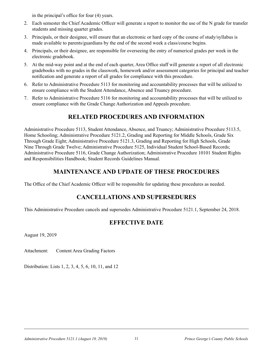in the principal's office for four (4) years.

- 2. Each semester the Chief Academic Officer will generate a report to monitor the use of the N grade for transfer students and missing quarter grades.
- 3. Principals, or their designee, will ensure that an electronic or hard copy of the course of study/syllabus is made available to parents/guardians by the end of the second week a class/course begins.
- 4. Principals, or their designee, are responsible for overseeing the entry of numerical grades per week in the electronic gradebook.
- 5. At the mid-way point and at the end of each quarter, Area Office staff will generate a report of all electronic gradebooks with no grades in the classwork, homework and/or assessment categories for principal and teacher notification and generate a report of all grades for compliance with this procedure.
- 6. Refer to Administrative Procedure 5113 for monitoring and accountability processes that will be utilized to ensure compliance with the Student Attendance, Absence and Truancy procedure.
- 7. Refer to Administrative Procedure 5116 for monitoring and accountability processes that will be utilized to ensure compliance with the Grade Change Authorization and Appeals procedure.

#### **RELATED PROCEDURES AND INFORMATION**

Administrative Procedure 5113, Student Attendance, Absence, and Truancy; Administrative Procedure 5113.5, Home Schooling; Administrative Procedure 5121.2, Grading and Reporting for Middle Schools, Grade Six Through Grade Eight; Administrative Procedure 5121.3, Grading and Reporting for High Schools, Grade Nine Through Grade Twelve; Administrative Procedure 5125, Individual Student School-Based Records; Administrative Procedure 5116, Grade Change Authorization; Administrative Procedure 10101 Student Rights and Responsibilities Handbook; Student Records Guidelines Manual.

#### **MAINTENANCE AND UPDATE OF THESE PROCEDURES**

The Office of the Chief Academic Officer will be responsible for updating these procedures as needed.

#### **CANCELLATIONS AND SUPERSEDURES**

This Administrative Procedure cancels and supersedes Administrative Procedure 5121.1, September 24, 2018.

#### **EFFECTIVE DATE**

August 19, 2019

Attachment: Content Area Grading Factors

Distribution: Lists 1, 2, 3, 4, 5, 6, 10, 11, and 12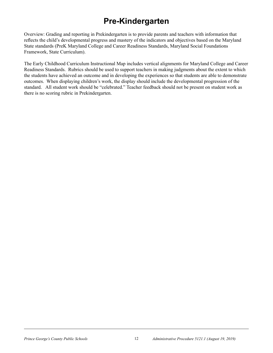### **Pre-Kindergarten**

Overview: Grading and reporting in Prekindergarten is to provide parents and teachers with information that reflects the child's developmental progress and mastery of the indicators and objectives based on the Maryland State standards (PreK Maryland College and Career Readiness Standards, Maryland Social Foundations Framework, State Curriculum).

The Early Childhood Curriculum Instructional Map includes vertical alignments for Maryland College and Career Readiness Standards. Rubrics should be used to support teachers in making judgments about the extent to which the students have achieved an outcome and in developing the experiences so that students are able to demonstrate outcomes. When displaying children's work, the display should include the developmental progression of the standard. All student work should be "celebrated." Teacher feedback should not be present on student work as there is no scoring rubric in Prekindergarten.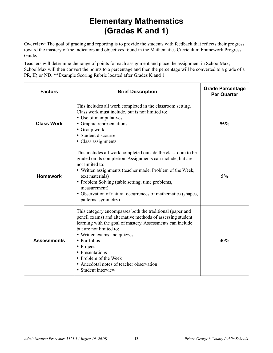### **Elementary Mathematics (Grades K and 1)**

**Overview:** The goal of grading and reporting is to provide the students with feedback that reflects their progress toward the mastery of the indicators and objectives found in the Mathematics Curriculum Framework Progress Guide**.**

Teachers will determine the range of points for each assignment and place the assignment in SchoolMax; SchoolMax will then convert the points to a percentage and then the percentage will be converted to a grade of a PR, IP, or ND. \*\*Example Scoring Rubric located after Grades K and 1

| <b>Factors</b>     | <b>Brief Description</b>                                                                                                                                                                                                                                                                                                                                                                     | <b>Grade Percentage</b><br><b>Per Quarter</b> |
|--------------------|----------------------------------------------------------------------------------------------------------------------------------------------------------------------------------------------------------------------------------------------------------------------------------------------------------------------------------------------------------------------------------------------|-----------------------------------------------|
| <b>Class Work</b>  | This includes all work completed in the classroom setting.<br>Class work must include, but is not limited to:<br>• Use of manipulatives<br>• Graphic representations<br>• Group work<br>• Student discourse<br>• Class assignments                                                                                                                                                           | 55%                                           |
| <b>Homework</b>    | This includes all work completed outside the classroom to be<br>graded on its completion. Assignments can include, but are<br>not limited to:<br>• Written assignments (teacher made, Problem of the Week,<br>text materials)<br>• Problem Solving (table setting, time problems,<br>measurement)<br>• Observation of natural occurrences of mathematics (shapes,<br>patterns, symmetry)     | 5%                                            |
| <b>Assessments</b> | This category encompasses both the traditional (paper and<br>pencil exams) and alternative methods of assessing student<br>learning with the goal of mastery. Assessments can include<br>but are not limited to:<br>• Written exams and quizzes<br>• Portfolios<br>• Projects<br>• Presentations<br>• Problem of the Week<br>• Anecdotal notes of teacher observation<br>• Student interview | 40%                                           |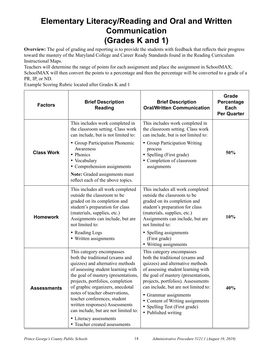### **Elementary Literacy/Reading and Oral and Written Communication (Grades K and 1)**

**Overview:** The goal of grading and reporting is to provide the students with feedback that reflects their progress toward the mastery of the Maryland College and Career Ready Standards found in the Reading Curriculum Instructional Maps.

Teachers will determine the range of points for each assignment and place the assignment in SchoolMAX; SchoolMAX will then convert the points to a percentage and then the percentage will be converted to a grade of a PR, IP, or ND.

Example Scoring Rubric located after Grades K and 1

| <b>Factors</b>     | <b>Brief Description</b><br><b>Reading</b>                                                                                                                                                                                                                                                                                                                                                                                                                   | <b>Brief Description</b><br><b>Oral/Written Communication</b>                                                                                                                                                                                                                                                                                                                    | Grade<br>Percentage<br>Each<br><b>Per Quarter</b> |
|--------------------|--------------------------------------------------------------------------------------------------------------------------------------------------------------------------------------------------------------------------------------------------------------------------------------------------------------------------------------------------------------------------------------------------------------------------------------------------------------|----------------------------------------------------------------------------------------------------------------------------------------------------------------------------------------------------------------------------------------------------------------------------------------------------------------------------------------------------------------------------------|---------------------------------------------------|
| <b>Class Work</b>  | This includes work completed in<br>the classroom setting. Class work<br>can include, but is not limited to:<br>• Group Participation Phonemic<br>Awareness<br>• Phonics<br>• Vocabulary<br>• Comprehension assignments<br>Note: Graded assignments must<br>reflect each of the above topics.                                                                                                                                                                 | This includes work completed in<br>the classroom setting. Class work<br>can include, but is not limited to:<br>• Group Participation Writing<br>process<br>Spelling (First grade)<br>$\bullet$<br>• Completion of classroom<br>assignments                                                                                                                                       | 50%                                               |
| <b>Homework</b>    | This includes all work completed<br>outside the classroom to be<br>graded on its completion and<br>student's preparation for class<br>(materials, supplies, etc.)<br>Assignments can include, but are<br>not limited to:<br>• Reading Logs<br>• Written assignments                                                                                                                                                                                          | This includes all work completed<br>outside the classroom to be<br>graded on its completion and<br>student's preparation for class<br>(materials, supplies, etc.)<br>Assignments can include, but are<br>not limited to:<br>• Spelling assignments<br>(First grade)<br>• Writing assignments                                                                                     | 10%                                               |
| <b>Assessments</b> | This category encompasses<br>both the traditional (exams and<br>quizzes) and alternative methods<br>of assessing student learning with<br>the goal of mastery (presentations,<br>projects, portfolios, completion<br>of graphic organizers, anecdotal<br>notes of teacher observations,<br>teacher conferences, student<br>written responses) Assessments<br>can include, but are not limited to:<br>• Literacy assessments<br>• Teacher created assessments | This category encompasses<br>both the traditional (exams and<br>quizzes) and alternative methods<br>of assessing student learning with<br>the goal of mastery (presentations,<br>projects, portfolios). Assessments<br>can include, but are not limited to:<br>• Grammar assignments<br>• Content of Writing assignments<br>• Spelling Test (First grade)<br>• Published writing | 40%                                               |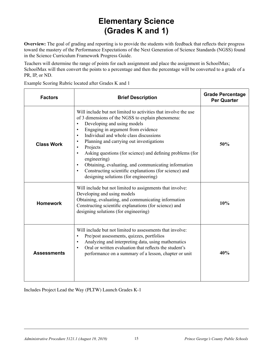### **Elementary Science (Grades K and 1)**

**Overview:** The goal of grading and reporting is to provide the students with feedback that reflects their progress toward the mastery of the Performance Expectations of the Next Generation of Science Standards (NGSS) found in the Science Curriculum Framework Progress Guide.

Teachers will determine the range of points for each assignment and place the assignment in SchoolMax; SchoolMax will then convert the points to a percentage and then the percentage will be converted to a grade of a PR, IP, or ND.

Example Scoring Rubric located after Grades K and 1

| <b>Factors</b>     | <b>Brief Description</b>                                                                                                                                                                                                                                                                                                                                                                                                                                                                                                                                                                             | <b>Grade Percentage</b><br><b>Per Quarter</b> |
|--------------------|------------------------------------------------------------------------------------------------------------------------------------------------------------------------------------------------------------------------------------------------------------------------------------------------------------------------------------------------------------------------------------------------------------------------------------------------------------------------------------------------------------------------------------------------------------------------------------------------------|-----------------------------------------------|
| <b>Class Work</b>  | Will include but not limited to activities that involve the use<br>of 3 dimensions of the NGSS to explain phenomena:<br>Developing and using models<br>$\bullet$<br>Engaging in argument from evidence<br>$\bullet$<br>Individual and whole class discussions<br>$\bullet$<br>Planning and carrying out investigations<br>$\bullet$<br>Projects<br>Asking questions (for science) and defining problems (for<br>engineering)<br>Obtaining, evaluating, and communicating information<br>Constructing scientific explanations (for science) and<br>$\bullet$<br>designing solutions (for engineering) | 50%                                           |
| <b>Homework</b>    | Will include but not limited to assignments that involve:<br>Developing and using models<br>Obtaining, evaluating, and communicating information<br>Constructing scientific explanations (for science) and<br>designing solutions (for engineering)                                                                                                                                                                                                                                                                                                                                                  | 10%                                           |
| <b>Assessments</b> | Will include but not limited to assessments that involve:<br>Pre/post assessments, quizzes, portfolios<br>Analyzing and interpreting data, using mathematics<br>$\bullet$<br>Oral or written evaluation that reflects the student's<br>performance on a summary of a lesson, chapter or unit                                                                                                                                                                                                                                                                                                         | 40%                                           |

Includes Project Lead the Way (PLTW) Launch Grades K-1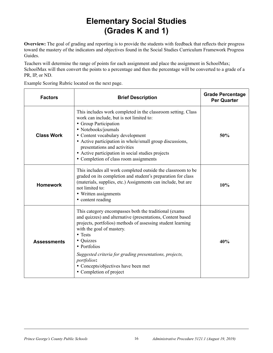### **Elementary Social Studies (Grades K and 1)**

**Overview:** The goal of grading and reporting is to provide the students with feedback that reflects their progress toward the mastery of the indicators and objectives found in the Social Studies Curriculum Framework Progress Guides.

Teachers will determine the range of points for each assignment and place the assignment in SchoolMax; SchoolMax will then convert the points to a percentage and then the percentage will be converted to a grade of a PR, IP, or ND.

Example Scoring Rubric located on the next page.

| <b>Factors</b>     | <b>Brief Description</b>                                                                                                                                                                                                                                                                                                                                                                                     | <b>Grade Percentage</b><br><b>Per Quarter</b> |
|--------------------|--------------------------------------------------------------------------------------------------------------------------------------------------------------------------------------------------------------------------------------------------------------------------------------------------------------------------------------------------------------------------------------------------------------|-----------------------------------------------|
| <b>Class Work</b>  | This includes work completed in the classroom setting. Class<br>work can include, but is not limited to:<br>• Group Participation<br>• Notebooks/journals<br>• Content vocabulary development<br>• Active participation in whole/small group discussions,<br>presentations and activities<br>• Active participation in social studies projects<br>• Completion of class room assignments                     | 50%                                           |
| <b>Homework</b>    | This includes all work completed outside the classroom to be<br>graded on its completion and student's preparation for class<br>(materials, supplies, etc.) Assignments can include, but are<br>not limited to:<br>• Written assignments<br>• content reading                                                                                                                                                | 10%                                           |
| <b>Assessments</b> | This category encompasses both the traditional (exams)<br>and quizzes) and alternative (presentations, Content based<br>projects, portfolios) methods of assessing student learning<br>with the goal of mastery.<br>$\bullet$ Tests<br>• Quizzes<br>• Portfolios<br>Suggested criteria for grading presentations, projects,<br>portfolios:<br>• Concepts/objectives have been met<br>• Completion of project | 40%                                           |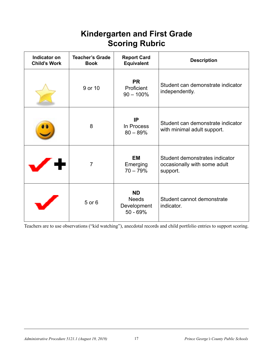#### **Kindergarten and First Grade Scoring Rubric**

| Indicator on<br><b>Child's Work</b> | <b>Teacher's Grade</b><br><b>Book</b> | <b>Report Card</b><br><b>Equivalent</b>                | <b>Description</b>                                                         |
|-------------------------------------|---------------------------------------|--------------------------------------------------------|----------------------------------------------------------------------------|
|                                     | 9 or 10                               | <b>PR</b><br>Proficient<br>$90 - 100\%$                | Student can demonstrate indicator<br>independently.                        |
|                                     | 8                                     | IP<br>In Process<br>$80 - 89%$                         | Student can demonstrate indicator<br>with minimal adult support.           |
|                                     | $\overline{7}$                        | <b>EM</b><br>Emerging<br>$70 - 79%$                    | Student demonstrates indicator<br>occasionally with some adult<br>support. |
|                                     | 5 or 6                                | <b>ND</b><br><b>Needs</b><br>Development<br>$50 - 69%$ | Student cannot demonstrate<br>indicator.                                   |

Teachers are to use observations ("kid watching"), anecdotal records and child portfolio entries to support scoring.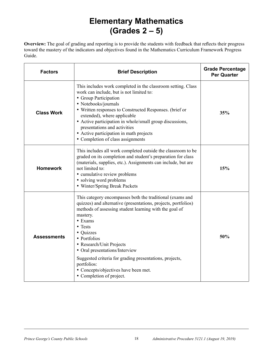### **Elementary Mathematics (Grades 2 – 5)**

**Overview:** The goal of grading and reporting is to provide the students with feedback that reflects their progress toward the mastery of the indicators and objectives found in the Mathematics Curriculum Framework Progress Guide.

| <b>Factors</b>     | <b>Brief Description</b>                                                                                                                                                                                                                                                                                                                                                                                                                                         | <b>Grade Percentage</b><br><b>Per Quarter</b> |
|--------------------|------------------------------------------------------------------------------------------------------------------------------------------------------------------------------------------------------------------------------------------------------------------------------------------------------------------------------------------------------------------------------------------------------------------------------------------------------------------|-----------------------------------------------|
| <b>Class Work</b>  | This includes work completed in the classroom setting. Class<br>work can include, but is not limited to:<br>• Group Participation<br>• Notebooks/journals<br>• Written responses to Constructed Responses. (brief or<br>extended), where applicable<br>• Active participation in whole/small group discussions,<br>presentations and activities<br>• Active participation in math projects<br>• Completion of class assignments                                  | 35%                                           |
| <b>Homework</b>    | This includes all work completed outside the classroom to be<br>graded on its completion and student's preparation for class<br>(materials, supplies, etc.). Assignments can include, but are<br>not limited to:<br>• cumulative review problems<br>• solving word problems<br>• Winter/Spring Break Packets                                                                                                                                                     | 15%                                           |
| <b>Assessments</b> | This category encompasses both the traditional (exams and<br>quizzes) and alternative (presentations, projects, portfolios)<br>methods of assessing student learning with the goal of<br>mastery.<br>• Exams<br>• Tests<br>• Quizzes<br>• Portfolios<br>• Research/Unit Projects<br>• Oral presentations/Interview<br>Suggested criteria for grading presentations, projects,<br>portfolios:<br>• Concepts/objectives have been met.<br>• Completion of project. | 50%                                           |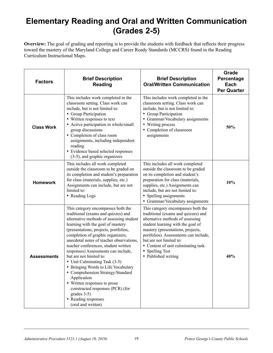### **Elementary Reading and Oral and Written Communication (Grades 2-5)**

**Overview:** The goal of grading and reporting is to provide the students with feedback that reflects their progress toward the mastery of the Maryland College and Career Ready Standards (MCCRS) found in the Reading Curriculum Instructional Maps.

| <b>Factors</b>     | <b>Brief Description</b><br><b>Reading</b>                                                                                                                                                                                                                                                                                                                                                                                                                                                                                                                                                                                                                 | <b>Brief Description</b><br><b>Oral/Written Communication</b>                                                                                                                                                                                                                                                                               | Grade<br>Percentage<br>Each<br><b>Per Quarter</b> |
|--------------------|------------------------------------------------------------------------------------------------------------------------------------------------------------------------------------------------------------------------------------------------------------------------------------------------------------------------------------------------------------------------------------------------------------------------------------------------------------------------------------------------------------------------------------------------------------------------------------------------------------------------------------------------------------|---------------------------------------------------------------------------------------------------------------------------------------------------------------------------------------------------------------------------------------------------------------------------------------------------------------------------------------------|---------------------------------------------------|
| <b>Class Work</b>  | This includes work completed in the<br>classroom setting. Class work can<br>include, but is not limited to:<br>• Group Participation<br>• Written responses to text<br>• Active participation in whole/small<br>group discussions<br>• Completion of class room<br>assignments, including independent<br>reading<br>· Evidence based selected responses<br>(3-5), and graphic organizers                                                                                                                                                                                                                                                                   | This includes work completed in the<br>classroom setting. Class work can<br>include, but is not limited to:<br>• Group Participation<br>Grammar/Vocabulary assignments<br>• Writing process<br>• Completion of classroom<br>assignments                                                                                                     | 50%                                               |
| <b>Homework</b>    | This includes all work completed<br>outside the classroom to be graded on<br>its completion and student's preparation<br>for class (materials, supplies, etc.)<br>Assignments can include, but are not<br>limited to:<br>• Reading Logs                                                                                                                                                                                                                                                                                                                                                                                                                    | This includes all work completed<br>outside the classroom to be graded<br>on its completion and student's<br>preparation for class (materials,<br>supplies, etc.) Assignments can<br>include, but are not limited to:<br>• Spelling assignments<br>• Grammar/Vocabulary assignments                                                         | 10%                                               |
| <b>Assessments</b> | This category encompasses both the<br>traditional (exams and quizzes) and<br>alternative methods of assessing student<br>learning with the goal of mastery<br>(presentations, projects, portfolios,<br>completion of graphic organizers,<br>anecdotal notes of teacher observations,<br>teacher conferences, student written<br>responses) Assessments can include,<br>but are not limited to:<br>• Unit Culminating Task (3-5)<br>• Bringing Words to Life Vocabulary<br>• Comprehension Strategy/Standard<br>Application<br>• Written responses to prose<br>constructed responses (PCR) (for<br>grades 3-5)<br>• Reading responses<br>(oral and written) | This category encompasses both the<br>traditional (exams and quizzes) and<br>alternative methods of assessing<br>student learning with the goal of<br>mastery (presentations, projects,<br>portfolios). Assessments can include,<br>but are not limited to:<br>• Content of unit culminating task<br>• Spelling Test<br>• Published writing | 40%                                               |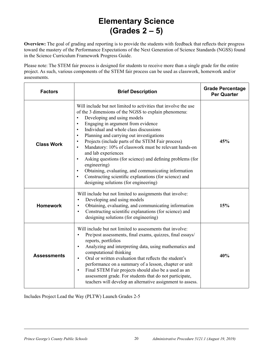### **Elementary Science (Grades 2 – 5)**

**Overview:** The goal of grading and reporting is to provide the students with feedback that reflects their progress toward the mastery of the Performance Expectations of the Next Generation of Science Standards (NGSS) found in the Science Curriculum Framework Progress Guide.

Please note: The STEM fair process is designed for students to receive more than a single grade for the entire project. As such, various components of the STEM fair process can be used as classwork, homework and/or assessments.

| <b>Factors</b>     | <b>Brief Description</b>                                                                                                                                                                                                                                                                                                                                                                                                                                                                                                                                                                                                                                                                                                                                                 | <b>Grade Percentage</b><br><b>Per Quarter</b> |
|--------------------|--------------------------------------------------------------------------------------------------------------------------------------------------------------------------------------------------------------------------------------------------------------------------------------------------------------------------------------------------------------------------------------------------------------------------------------------------------------------------------------------------------------------------------------------------------------------------------------------------------------------------------------------------------------------------------------------------------------------------------------------------------------------------|-----------------------------------------------|
| <b>Class Work</b>  | Will include but not limited to activities that involve the use<br>of the 3 dimensions of the NGSS to explain phenomena:<br>Developing and using models<br>$\bullet$<br>Engaging in argument from evidence<br>$\bullet$<br>Individual and whole class discussions<br>$\bullet$<br>Planning and carrying out investigations<br>$\bullet$<br>Projects (include parts of the STEM Fair process)<br>$\bullet$<br>Mandatory: 10% of classwork must be relevant hands-on<br>$\bullet$<br>and lab experiences<br>Asking questions (for science) and defining problems (for<br>$\bullet$<br>engineering)<br>Obtaining, evaluating, and communicating information<br>Constructing scientific explanations (for science) and<br>$\bullet$<br>designing solutions (for engineering) | 45%                                           |
| <b>Homework</b>    | Will include but not limited to assignments that involve:<br>Developing and using models<br>$\bullet$<br>Obtaining, evaluating, and communicating information<br>$\bullet$<br>Constructing scientific explanations (for science) and<br>$\bullet$<br>designing solutions (for engineering)                                                                                                                                                                                                                                                                                                                                                                                                                                                                               | 15%                                           |
| <b>Assessments</b> | Will include but not limited to assessments that involve:<br>Pre/post assessments, final exams, quizzes, final essays/<br>$\bullet$<br>reports, portfolios<br>Analyzing and interpreting data, using mathematics and<br>$\bullet$<br>computational thinking<br>Oral or written evaluation that reflects the student's<br>$\bullet$<br>performance on a summary of a lesson, chapter or unit<br>Final STEM Fair projects should also be a used as an<br>$\bullet$<br>assessment grade. For students that do not participate,<br>teachers will develop an alternative assignment to assess.                                                                                                                                                                                | 40%                                           |

Includes Project Lead the Way (PLTW) Launch Grades 2-5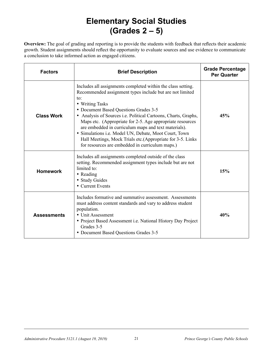### **Elementary Social Studies (Grades 2 – 5)**

**Overview:** The goal of grading and reporting is to provide the students with feedback that reflects their academic growth. Student assignments should reflect the opportunity to evaluate sources and use evidence to communicate a conclusion to take informed action as engaged citizens.

| <b>Factors</b>     | <b>Brief Description</b>                                                                                                                                                                                                                                                                                                                                                                                                                                                                                                                                     | <b>Grade Percentage</b><br><b>Per Quarter</b> |
|--------------------|--------------------------------------------------------------------------------------------------------------------------------------------------------------------------------------------------------------------------------------------------------------------------------------------------------------------------------------------------------------------------------------------------------------------------------------------------------------------------------------------------------------------------------------------------------------|-----------------------------------------------|
| <b>Class Work</b>  | Includes all assignments completed within the class setting.<br>Recommended assignment types include but are not limited<br>to:<br>• Writing Tasks<br>• Document Based Questions Grades 3-5<br>• Analysis of Sources i.e. Political Cartoons, Charts, Graphs,<br>Maps etc. (Appropriate for 2-5. Age appropriate resources<br>are embedded in curriculum maps and text materials).<br>· Simulations i.e. Model UN, Debate, Moot Court, Town<br>Hall Meetings, Mock Trials etc.(Appropriate for 3-5. Links<br>for resources are embedded in curriculum maps.) | 45%                                           |
| <b>Homework</b>    | Includes all assignments completed outside of the class<br>setting. Recommended assignment types include but are not<br>limited to:<br>• Reading<br>• Study Guides<br>• Current Events                                                                                                                                                                                                                                                                                                                                                                       | 15%                                           |
| <b>Assessments</b> | Includes formative and summative assessment. Assessments<br>must address content standards and vary to address student<br>population.<br>• Unit Assessment<br>• Project Based Assessment i.e. National History Day Project<br>Grades 3-5<br>• Document Based Questions Grades 3-5                                                                                                                                                                                                                                                                            | 40%                                           |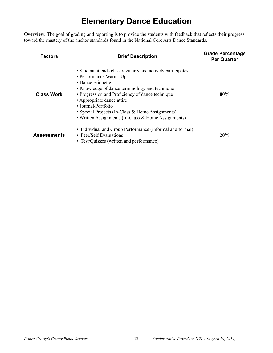### **Elementary Dance Education**

**Overview:** The goal of grading and reporting is to provide the students with feedback that reflects their progress toward the mastery of the anchor standards found in the National Core Arts Dance Standards.

| <b>Factors</b>     | <b>Brief Description</b>                                                                                                                                                                                                                                                                                                                                                          | <b>Grade Percentage</b><br><b>Per Quarter</b> |
|--------------------|-----------------------------------------------------------------------------------------------------------------------------------------------------------------------------------------------------------------------------------------------------------------------------------------------------------------------------------------------------------------------------------|-----------------------------------------------|
| <b>Class Work</b>  | • Student attends class regularly and actively participates<br>• Performance Warm- Ups<br>• Dance Etiquette<br>• Knowledge of dance terminology and technique<br>• Progression and Proficiency of dance technique<br>• Appropriate dance attire<br>• Journal/Portfolio<br>• Special Projects (In-Class & Home Assignments)<br>• Written Assignments (In-Class & Home Assignments) | 80%                                           |
| <b>Assessments</b> | • Individual and Group Performance (informal and formal)<br>• Peer/Self Evaluations<br>• Test/Quizzes (written and performance)                                                                                                                                                                                                                                                   | 20%                                           |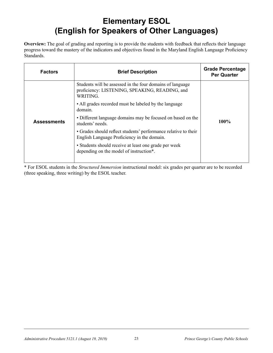### **Elementary ESOL (English for Speakers of Other Languages)**

**Overview:** The goal of grading and reporting is to provide the students with feedback that reflects their language progress toward the mastery of the indicators and objectives found in the Maryland English Language Proficiency Standards.

| <b>Factors</b><br><b>Brief Description</b>                                                                              | <b>Grade Percentage</b><br><b>Per Quarter</b> |
|-------------------------------------------------------------------------------------------------------------------------|-----------------------------------------------|
| Students will be assessed in the four domains of language<br>proficiency: LISTENING, SPEAKING, READING, and<br>WRITING. |                                               |
| • All grades recorded must be labeled by the language<br>domain.                                                        |                                               |
| • Different language domains may be focused on based on the<br><b>Assessments</b><br>students' needs.                   | $100\%$                                       |
| • Grades should reflect students' performance relative to their<br>English Language Proficiency in the domain.          |                                               |
| • Students should receive at least one grade per week<br>depending on the model of instruction*.                        |                                               |

\* For ESOL students in the *Structured Immersion* instructional model: six grades per quarter are to be recorded (three speaking, three writing) by the ESOL teacher.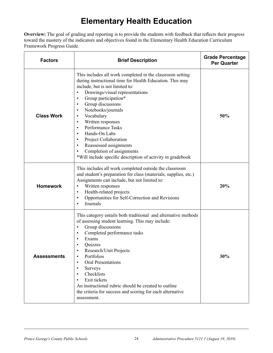### **Elementary Health Education**

**Overview:** The goal of grading and reporting is to provide the students with feedback that reflects their progress toward the mastery of the indicators and objectives found in the Elementary Health Education Curriculum Framework Progress Guide.

| <b>Factors</b>     | <b>Brief Description</b>                                                                                                                                                                                                                                                                                                                                                                                                                                                                                                                                                                                                 | <b>Grade Percentage</b><br><b>Per Quarter</b> |
|--------------------|--------------------------------------------------------------------------------------------------------------------------------------------------------------------------------------------------------------------------------------------------------------------------------------------------------------------------------------------------------------------------------------------------------------------------------------------------------------------------------------------------------------------------------------------------------------------------------------------------------------------------|-----------------------------------------------|
| <b>Class Work</b>  | This includes all work completed in the classroom setting<br>during instructional time for Health Education. This may<br>include, but is not limited to:<br>Drawings/visual representations<br>$\bullet$<br>Group participation*<br>$\bullet$<br>Group discussions<br>$\bullet$<br>Notebooks/journals<br>$\bullet$<br>Vocabulary<br>$\bullet$<br>Written responses<br>$\bullet$<br>Performance Tasks<br>$\bullet$<br>Hands-On Labs<br>$\bullet$<br>Project Collaboration<br>$\bullet$<br>Reassessed assignments<br>$\bullet$<br>Completion of assignments<br>*Will include specific description of activity in gradebook | 50%                                           |
| <b>Homework</b>    | This includes all work completed outside the classroom<br>and student's preparation for class (materials, supplies, etc.)<br>Assignments can include, but not limited to:<br>Written responses<br>$\bullet$<br>Health-related projects<br>$\bullet$<br>Opportunities for Self-Correction and Revisions<br>$\bullet$<br>Journals<br>$\bullet$                                                                                                                                                                                                                                                                             | 20%                                           |
| <b>Assessments</b> | This category entails both traditional and alternative methods<br>of assessing student learning. This may include:<br>Group discussions<br>$\bullet$<br>Completed performance tasks<br>$\bullet$<br>Exams<br>Quizzes<br>Research/Unit Projects<br>Portfolios<br>$\bullet$<br><b>Oral Presentations</b><br>Surveys<br>Checklists<br>$\bullet$<br>Exit tickets<br>$\bullet$<br>An instructional rubric should be created to outline<br>the criteria for success and scoring for each alternative<br>assessment.                                                                                                            | 30%                                           |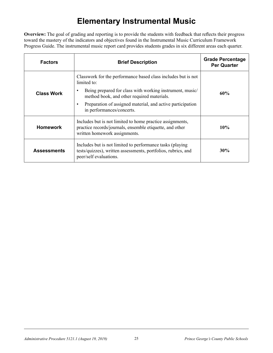### **Elementary Instrumental Music**

**Overview:** The goal of grading and reporting is to provide the students with feedback that reflects their progress toward the mastery of the indicators and objectives found in the Instrumental Music Curriculum Framework Progress Guide. The instrumental music report card provides students grades in six different areas each quarter.

| <b>Factors</b>     | <b>Brief Description</b>                                                                                                                                                                                                                                                          | <b>Grade Percentage</b><br><b>Per Quarter</b> |
|--------------------|-----------------------------------------------------------------------------------------------------------------------------------------------------------------------------------------------------------------------------------------------------------------------------------|-----------------------------------------------|
| <b>Class Work</b>  | Classwork for the performance based class includes but is not<br>limited to:<br>Being prepared for class with working instrument, music/<br>method book, and other required materials.<br>Preparation of assigned material, and active participation<br>in performances/concerts. | 60%                                           |
| <b>Homework</b>    | Includes but is not limited to home practice assignments,<br>practice records/journals, ensemble etiquette, and other<br>written homework assignments.                                                                                                                            | 10%                                           |
| <b>Assessments</b> | Includes but is not limited to performance tasks (playing<br>tests/quizzes), written assessments, portfolios, rubrics, and<br>peer/self evaluations.                                                                                                                              | 30%                                           |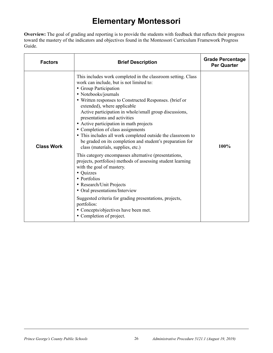### **Elementary Montessori**

**Overview:** The goal of grading and reporting is to provide the students with feedback that reflects their progress toward the mastery of the indicators and objectives found in the Montessori Curriculum Framework Progress Guide.

| <b>Factors</b>    | <b>Brief Description</b>                                                                                                                                                                                                                                                                                                                                                                                                                                                                                                                                                                                                                                                                                                                                                                                                                                                                                                                                                                     | <b>Grade Percentage</b><br><b>Per Quarter</b> |
|-------------------|----------------------------------------------------------------------------------------------------------------------------------------------------------------------------------------------------------------------------------------------------------------------------------------------------------------------------------------------------------------------------------------------------------------------------------------------------------------------------------------------------------------------------------------------------------------------------------------------------------------------------------------------------------------------------------------------------------------------------------------------------------------------------------------------------------------------------------------------------------------------------------------------------------------------------------------------------------------------------------------------|-----------------------------------------------|
| <b>Class Work</b> | This includes work completed in the classroom setting. Class<br>work can include, but is not limited to:<br>• Group Participation<br>• Notebooks/journals<br>• Written responses to Constructed Responses. (brief or<br>extended), where applicable<br>Active participation in whole/small group discussions,<br>presentations and activities<br>• Active participation in math projects<br>• Completion of class assignments<br>• This includes all work completed outside the classroom to<br>be graded on its completion and student's preparation for<br>class (materials, supplies, etc.)<br>This category encompasses alternative (presentations,<br>projects, portfolios) methods of assessing student learning<br>with the goal of mastery.<br>• Quizzes<br>• Portfolios<br>• Research/Unit Projects<br>• Oral presentations/Interview<br>Suggested criteria for grading presentations, projects,<br>portfolios:<br>• Concepts/objectives have been met.<br>• Completion of project. | 100%                                          |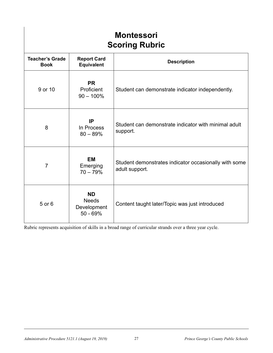| <b>Montessori</b><br><b>Scoring Rubric</b> |                                                        |                                                                         |  |  |
|--------------------------------------------|--------------------------------------------------------|-------------------------------------------------------------------------|--|--|
| <b>Teacher's Grade</b><br><b>Book</b>      | <b>Report Card</b><br><b>Equivalent</b>                | <b>Description</b>                                                      |  |  |
| 9 or 10                                    | <b>PR</b><br>Proficient<br>$90 - 100\%$                | Student can demonstrate indicator independently.                        |  |  |
| 8                                          | IP<br>In Process<br>$80 - 89%$                         | Student can demonstrate indicator with minimal adult<br>support.        |  |  |
| $\overline{7}$                             | <b>EM</b><br>Emerging<br>$70 - 79%$                    | Student demonstrates indicator occasionally with some<br>adult support. |  |  |
| 5 or 6                                     | <b>ND</b><br><b>Needs</b><br>Development<br>$50 - 69%$ | Content taught later/Topic was just introduced                          |  |  |

Rubric represents acquisition of skills in a broad range of curricular strands over a three year cycle.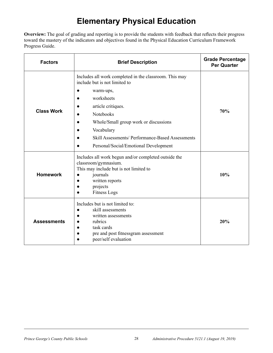### **Elementary Physical Education**

**Overview:** The goal of grading and reporting is to provide the students with feedback that reflects their progress toward the mastery of the indicators and objectives found in the Physical Education Curriculum Framework Progress Guide.

| <b>Factors</b>     | <b>Brief Description</b>                                                                                                                                                                                                                                                                                                                                             | <b>Grade Percentage</b><br><b>Per Quarter</b> |
|--------------------|----------------------------------------------------------------------------------------------------------------------------------------------------------------------------------------------------------------------------------------------------------------------------------------------------------------------------------------------------------------------|-----------------------------------------------|
| <b>Class Work</b>  | Includes all work completed in the classroom. This may<br>include but is not limited to<br>$\bullet$<br>warm-ups,<br>worksheets<br>$\bullet$<br>article critiques.<br>$\bullet$<br><b>Notebooks</b><br>Whole/Small group work or discussions<br>$\bullet$<br>Vocabulary<br>Skill Assessments/ Performance-Based Assessments<br>Personal/Social/Emotional Development | 70%                                           |
| <b>Homework</b>    | Includes all work begun and/or completed outside the<br>classroom/gymnasium.<br>This may include but is not limited to<br>journals<br>$\bullet$<br>written reports<br>$\bullet$<br>projects<br>$\bullet$<br><b>Fitness Logs</b>                                                                                                                                      | 10%                                           |
| <b>Assessments</b> | Includes but is not limited to:<br>skill assessments<br>written assessments<br>$\bullet$<br>rubrics<br>$\bullet$<br>task cards<br>$\bullet$<br>pre and post fitnessgram assessment<br>peer/self evaluation                                                                                                                                                           | 20%                                           |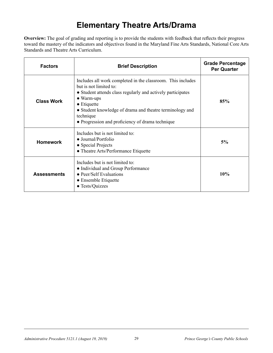### **Elementary Theatre Arts/Drama**

**Overview:** The goal of grading and reporting is to provide the students with feedback that reflects their progress toward the mastery of the indicators and objectives found in the Maryland Fine Arts Standards, National Core Arts Standards and Theatre Arts Curriculum.

| <b>Factors</b>     | <b>Brief Description</b>                                                                                                                                                                                                                                                                                                       | <b>Grade Percentage</b><br><b>Per Quarter</b> |
|--------------------|--------------------------------------------------------------------------------------------------------------------------------------------------------------------------------------------------------------------------------------------------------------------------------------------------------------------------------|-----------------------------------------------|
| <b>Class Work</b>  | Includes all work completed in the classroom. This includes<br>but is not limited to:<br>• Student attends class regularly and actively participates<br>$\bullet$ Warm-ups<br>$\bullet$ Etiquette<br>• Student knowledge of drama and theatre terminology and<br>technique<br>• Progression and proficiency of drama technique | 85%                                           |
| <b>Homework</b>    | Includes but is not limited to:<br>$\bullet$ Journal/Portfolio<br>• Special Projects<br>• Theatre Arts/Performance Etiquette                                                                                                                                                                                                   | 5%                                            |
| <b>Assessments</b> | Includes but is not limited to:<br>• Individual and Group Performance<br>• Peer/Self Evaluations<br>• Ensemble Etiquette<br>• Tests/Quizzes                                                                                                                                                                                    | 10%                                           |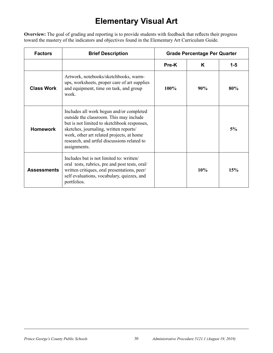### **Elementary Visual Art**

**Overview:** The goal of grading and reporting is to provide students with feedback that reflects their progress toward the mastery of the indicators and objectives found in the Elementary Art Curriculum Guide.

| <b>Factors</b>     | <b>Brief Description</b>                                                                                                                                                                                                                                                                 |       | <b>Grade Percentage Per Quarter</b> |         |
|--------------------|------------------------------------------------------------------------------------------------------------------------------------------------------------------------------------------------------------------------------------------------------------------------------------------|-------|-------------------------------------|---------|
|                    |                                                                                                                                                                                                                                                                                          | Pre-K | K                                   | $1 - 5$ |
| <b>Class Work</b>  | Artwork, notebooks/sketchbooks, warm-<br>ups, worksheets, proper care of art supplies<br>and equipment, time on task, and group<br>work.                                                                                                                                                 | 100%  | 90%                                 | 80%     |
| <b>Homework</b>    | Includes all work begun and/or completed<br>outside the classroom. This may include<br>but is not limited to sketchbook responses,<br>sketches, journaling, written reports/<br>work, other art related projects, at home<br>research, and artful discussions related to<br>assignments. |       |                                     | 5%      |
| <b>Assessments</b> | Includes but is not limited to: written/<br>oral tests, rubrics, pre and post tests, oral/<br>written critiques, oral presentations, peer/<br>self evaluations, vocabulary, quizzes, and<br>portfolios.                                                                                  |       | 10%                                 | 15%     |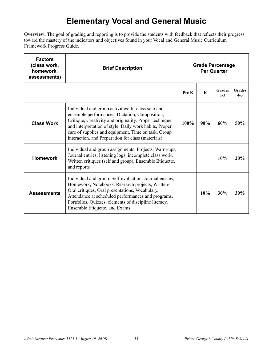### **Elementary Vocal and General Music**

**Overview:** The goal of grading and reporting is to provide the students with feedback that reflects their progress toward the mastery of the indicators and objectives found in your Vocal and General Music Curriculum Framework Progress Guide.

| <b>Factors</b><br>(class work,<br>homework,<br>assessments) | <b>Brief Description</b>                                                                                                                                                                                                                                                                                                              |       |     | <b>Grade Percentage</b><br><b>Per Quarter</b> |                          |
|-------------------------------------------------------------|---------------------------------------------------------------------------------------------------------------------------------------------------------------------------------------------------------------------------------------------------------------------------------------------------------------------------------------|-------|-----|-----------------------------------------------|--------------------------|
|                                                             |                                                                                                                                                                                                                                                                                                                                       | Pre-K | K   | <b>Grades</b><br>$1 - 3$                      | <b>Grades</b><br>$4 - 5$ |
| <b>Class Work</b>                                           | Individual and group activities: In-class solo and<br>ensemble performances, Dictation, Composition,<br>Critique, Creativity and originality, Proper technique<br>and interpretation of style, Daily work habits, Proper<br>care of supplies and equipment, Time on task, Group<br>interaction, and Preparation for class (materials) | 100%  | 90% | 60%                                           | 50%                      |
| <b>Homework</b>                                             | Individual and group assignments: Projects, Warm-ups,<br>Journal entries, listening logs, incomplete class work,<br>Written critiques (self and group), Ensemble Etiquette,<br>and reports                                                                                                                                            |       |     | 10%                                           | 20%                      |
| <b>Assessments</b>                                          | Individual and group: Self-evaluation, Journal entries,<br>Homework, Notebooks, Research projects, Written/<br>Oral critiques, Oral presentations, Vocabulary,<br>Attendance at scheduled performances and programs,<br>Portfolios, Quizzes, elements of discipline literacy,<br>Ensemble Etiquette, and Exams.                       |       | 10% | 30%                                           | 30%                      |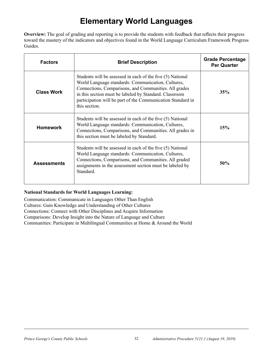### **Elementary World Languages**

**Overview:** The goal of grading and reporting is to provide the students with feedback that reflects their progress toward the mastery of the indicators and objectives found in the World Language Curriculum Framework Progress Guides.

| <b>Factors</b>     | <b>Brief Description</b>                                                                                                                                                                                                                                                                                            | <b>Grade Percentage</b><br><b>Per Quarter</b> |
|--------------------|---------------------------------------------------------------------------------------------------------------------------------------------------------------------------------------------------------------------------------------------------------------------------------------------------------------------|-----------------------------------------------|
| <b>Class Work</b>  | Students will be assessed in each of the five (5) National<br>World Language standards: Communication, Cultures,<br>Connections, Comparisons, and Communities. All grades<br>in this section must be labeled by Standard. Classroom<br>participation will be part of the Communication Standard in<br>this section. | 35%                                           |
| <b>Homework</b>    | Students will be assessed in each of the five (5) National<br>World Language standards: Communication, Cultures,<br>Connections, Comparisons, and Communities. All grades in<br>this section must be labeled by Standard.                                                                                           | 15%                                           |
| <b>Assessments</b> | Students will be assessed in each of the five (5) National<br>World Language standards: Communication, Cultures,<br>Connections, Comparisons, and Communities. All graded<br>assignments in the assessment section must be labeled by<br>Standard.                                                                  | 50%                                           |

#### **National Standards for World Languages Learning:**

Communication: Communicate in Languages Other Than English Cultures: Gain Knowledge and Understanding of Other Cultures Connections: Connect with Other Disciplines and Acquire Information Comparisons: Develop Insight into the Nature of Language and Culture Communities: Participate in Multilingual Communities at Home & Around the World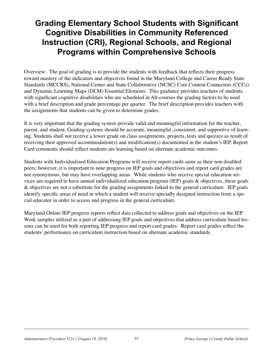#### **Grading Elementary School Students with Significant Cognitive Disabilities in Community Referenced Instruction (CRI), Regional Schools, and Regional Programs within Comprehensive Schools**

Overview: The goal of grading is to provide the students with feedback that reflects their progress toward mastery of the indicators and objectives found in the Maryland College and Career Ready State Standards (MCCRS), National Center and State Collaborative (NCSC) Core Content Connectors (CCCs) and Dynamic Learning Maps (DLM) Essential Elements. This guidance provides teachers of students with significant cognitive disabilities who are scheduled in Alt-courses the grading factors to be used with a brief description and grade percentage per quarter. The brief description provides teachers with the assignments that students can be given to determine grades.

It is very important that the grading system provide valid and meaningful information for the teacher, parent, and student. Grading systems should be accurate, meaningful, consistent, and supportive of learning. Students shall not receive a lower grade on class assignments, projects, tests and quizzes as result of receiving their approved accommodation(s) and modification(s) documented in the student's IEP. Report Card comments should reflect students are learning based on alternate academic outcomes.

Students with Individualized Education Programs will receive report cards same as their non disabled peers; however, it is important to note progress on IEP goals and objectives and report card grades are not synonymous, but may have overlapping areas. While students who receive special education services are required to have annual individualized education program (IEP) goals & objectives, these goals & objectives are not a substitute for the grading assignments linked to the general curriculum. IEP goals identify specific areas of need in which a student will receive specially designed instruction from a special educator in order to access and progress in the general curriculum.

Maryland Online IEP progress reports reflect data collected to address goals and objectives on the IEP. Work samples utilized as a part of addressing IEP goals and objectives that address curriculum based lessons can be used for both reporting IEP progress and report card grades. Report card grades reflect the students' performance on curriculum instruction based on alternate academic standards.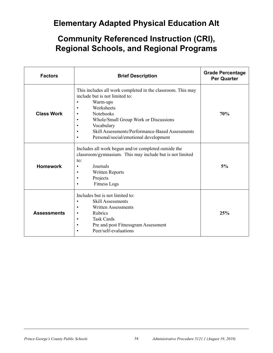#### **Elementary Adapted Physical Education Alt**

| <b>Factors</b>     | <b>Brief Description</b>                                                                                                                                                                                                                                                                                                                                                                  | <b>Grade Percentage</b><br><b>Per Quarter</b> |
|--------------------|-------------------------------------------------------------------------------------------------------------------------------------------------------------------------------------------------------------------------------------------------------------------------------------------------------------------------------------------------------------------------------------------|-----------------------------------------------|
| <b>Class Work</b>  | This includes all work completed in the classroom. This may<br>include but is not limited to:<br>Warm-ups<br>$\bullet$<br>Worksheets<br>$\bullet$<br><b>Notebooks</b><br>$\bullet$<br>Whole/Small Group Work or Discussions<br>$\bullet$<br>Vocabulary<br>$\bullet$<br>Skill Assessments/Performance-Based Assessments<br>$\bullet$<br>Personal/social/emotional development<br>$\bullet$ | 70%                                           |
| <b>Homework</b>    | Includes all work begun and/or completed outside the<br>classroom/gymnasium. This may include but is not limited<br>to:<br>Journals<br>$\bullet$<br><b>Written Reports</b><br>$\bullet$<br>Projects<br>$\bullet$<br><b>Fitness Logs</b>                                                                                                                                                   | 5%                                            |
| <b>Assessments</b> | Includes but is not limited to:<br><b>Skill Assessments</b><br>$\bullet$<br><b>Written Assessments</b><br>$\bullet$<br>Rubrics<br>$\bullet$<br><b>Task Cards</b><br>$\bullet$<br>Pre and post Fitnessgram Assessment<br>$\bullet$<br>Peer/self-evaluations                                                                                                                                | 25%                                           |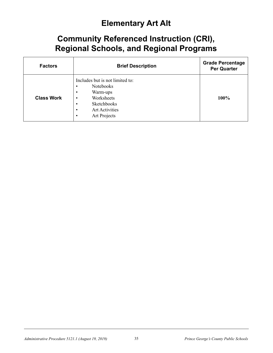### **Elementary Art Alt**

| <b>Factors</b>    | <b>Brief Description</b>                                                                                                                                                    | <b>Grade Percentage</b><br><b>Per Quarter</b> |
|-------------------|-----------------------------------------------------------------------------------------------------------------------------------------------------------------------------|-----------------------------------------------|
| <b>Class Work</b> | Includes but is not limited to:<br><b>Notebooks</b><br>٠<br>Warm-ups<br>٠<br>Worksheets<br>$\bullet$<br>Sketchbooks<br>٠<br><b>Art Activities</b><br>٠<br>Art Projects<br>٠ | 100%                                          |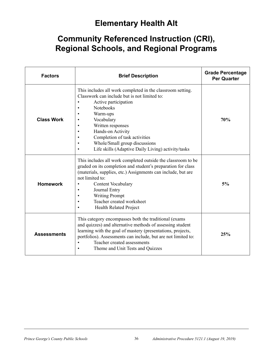### **Elementary Health Alt**

| <b>Factors</b>     | <b>Brief Description</b>                                                                                                                                                                                                                                                                                                                                                       | <b>Grade Percentage</b><br><b>Per Quarter</b> |
|--------------------|--------------------------------------------------------------------------------------------------------------------------------------------------------------------------------------------------------------------------------------------------------------------------------------------------------------------------------------------------------------------------------|-----------------------------------------------|
| <b>Class Work</b>  | This includes all work completed in the classroom setting.<br>Classwork can include but is not limited to:<br>Active participation<br>Notebooks<br>Warm-ups<br>Vocabulary<br>Written responses<br>Hands-on Activity<br>Completion of task activities<br>Whole/Small group discussions<br>$\bullet$<br>Life skills (Adaptive Daily Living) activity/tasks<br>$\bullet$          | 70%                                           |
| <b>Homework</b>    | This includes all work completed outside the classroom to be<br>graded on its completion and student's preparation for class<br>(materials, supplies, etc.) Assignments can include, but are<br>not limited to:<br><b>Content Vocabulary</b><br>$\bullet$<br>Journal Entry<br><b>Writing Prompt</b><br>Teacher created worksheet<br>$\bullet$<br><b>Health Related Project</b> | 5%                                            |
| <b>Assessments</b> | This category encompasses both the traditional (exams)<br>and quizzes) and alternative methods of assessing student<br>learning with the goal of mastery (presentations, projects,<br>portfolios). Assessments can include, but are not limited to:<br>Teacher created assessments<br>$\bullet$<br>Theme and Unit Tests and Quizzes                                            | 25%                                           |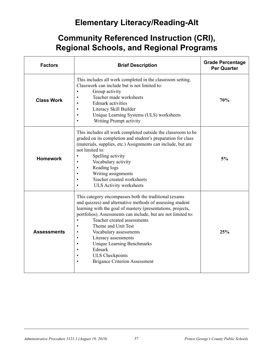### **Elementary Literacy/Reading-Alt**

| <b>Factors</b>     | <b>Brief Description</b>                                                                                                                                                                                                                                                                                                                                                                                                                                                                                                                            | <b>Grade Percentage</b><br><b>Per Quarter</b> |
|--------------------|-----------------------------------------------------------------------------------------------------------------------------------------------------------------------------------------------------------------------------------------------------------------------------------------------------------------------------------------------------------------------------------------------------------------------------------------------------------------------------------------------------------------------------------------------------|-----------------------------------------------|
| <b>Class Work</b>  | This includes all work completed in the classroom setting.<br>Classwork can include but is not limited to:<br>Group activity<br>$\bullet$<br>Teacher made worksheets<br>$\bullet$<br><b>Edmark</b> activities<br>Literacy Skill Builder<br>$\bullet$<br>Unique Learning Systems (ULS) worksheets<br>$\bullet$<br>Writing Prompt activity                                                                                                                                                                                                            | 70%                                           |
| <b>Homework</b>    | This includes all work completed outside the classroom to be<br>graded on its completion and student's preparation for class<br>(materials, supplies, etc.) Assignments can include, but are<br>not limited to:<br>Spelling activity<br>Vocabulary activity<br>$\bullet$<br>Reading logs<br>$\bullet$<br>Writing assignments<br>$\bullet$<br>Teacher created worksheets<br>$\bullet$<br><b>ULS Activity worksheets</b>                                                                                                                              | 5%                                            |
| <b>Assessments</b> | This category encompasses both the traditional (exams)<br>and quizzes) and alternative methods of assessing student<br>learning with the goal of mastery (presentations, projects,<br>portfolios). Assessments can include, but are not limited to:<br>Teacher created assessments<br>$\bullet$<br>Theme and Unit Test<br>$\bullet$<br>Vocabulary assessments<br>$\bullet$<br>Literacy assessments<br>$\bullet$<br>Unique Learning Benchmarks<br>$\bullet$<br>Edmark<br><b>ULS</b> Checkpoints<br>$\bullet$<br><b>Brigance Criterion Assessment</b> | 25%                                           |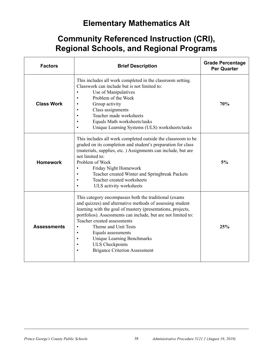### **Elementary Mathematics Alt**

| <b>Factors</b>     | <b>Brief Description</b>                                                                                                                                                                                                                                                                                                                                                                                                                                                      | <b>Grade Percentage</b><br><b>Per Quarter</b> |
|--------------------|-------------------------------------------------------------------------------------------------------------------------------------------------------------------------------------------------------------------------------------------------------------------------------------------------------------------------------------------------------------------------------------------------------------------------------------------------------------------------------|-----------------------------------------------|
| <b>Class Work</b>  | This includes all work completed in the classroom setting.<br>Classwork can include but is not limited to:<br>Use of Manipulatives<br>$\bullet$<br>Problem of the Week<br>Group activity<br>Class assignments<br>Teacher made worksheets<br>Equals Math worksheets/tasks<br>Unique Learning Systems (ULS) worksheets/tasks                                                                                                                                                    | 70%                                           |
| <b>Homework</b>    | This includes all work completed outside the classroom to be<br>graded on its completion and student's preparation for class<br>(materials, supplies, etc.) Assignments can include, but are<br>not limited to:<br>Problem of Week<br>Friday Night Homework<br>Teacher created Winter and Springbreak Packets<br>Teacher created worksheets<br>$\bullet$<br>ULS activity worksheets                                                                                           | 5%                                            |
| <b>Assessments</b> | This category encompasses both the traditional (exams<br>and quizzes) and alternative methods of assessing student<br>learning with the goal of mastery (presentations, projects,<br>portfolios). Assessments can include, but are not limited to:<br>Teacher created assessments<br>Theme and Unit Tests<br>Equals assessments<br>$\bullet$<br><b>Unique Learning Benchmarks</b><br>$\bullet$<br><b>ULS</b> Checkpoints<br>$\bullet$<br><b>Brigance Criterion Assessment</b> | 25%                                           |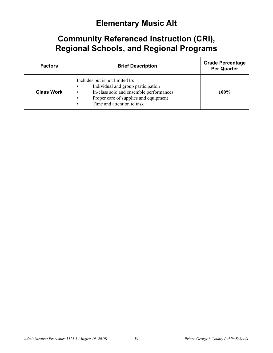#### **Elementary Music Alt**

| <b>Factors</b>    | <b>Brief Description</b>                                                                                                                                                                                                       | <b>Grade Percentage</b><br><b>Per Quarter</b> |
|-------------------|--------------------------------------------------------------------------------------------------------------------------------------------------------------------------------------------------------------------------------|-----------------------------------------------|
| <b>Class Work</b> | Includes but is not limited to:<br>Individual and group participation<br>$\bullet$<br>In-class solo and ensemble performances<br>Proper care of supplies and equipment<br>$\bullet$<br>Time and attention to task<br>$\bullet$ | $100\%$                                       |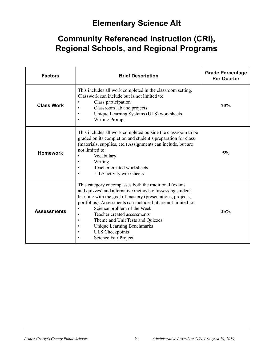### **Elementary Science Alt**

| <b>Factors</b>     | <b>Brief Description</b>                                                                                                                                                                                                                                                                                                                                                                                                                                                                              | <b>Grade Percentage</b><br><b>Per Quarter</b> |
|--------------------|-------------------------------------------------------------------------------------------------------------------------------------------------------------------------------------------------------------------------------------------------------------------------------------------------------------------------------------------------------------------------------------------------------------------------------------------------------------------------------------------------------|-----------------------------------------------|
| <b>Class Work</b>  | This includes all work completed in the classroom setting.<br>Classwork can include but is not limited to:<br>Class participation<br>$\bullet$<br>Classroom lab and projects<br>$\bullet$<br>Unique Learning Systems (ULS) worksheets<br>$\bullet$<br><b>Writing Prompt</b><br>$\bullet$                                                                                                                                                                                                              | 70%                                           |
| <b>Homework</b>    | This includes all work completed outside the classroom to be<br>graded on its completion and student's preparation for class<br>(materials, supplies, etc.) Assignments can include, but are<br>not limited to:<br>Vocabulary<br>$\bullet$<br>Writing<br>$\bullet$<br>Teacher created worksheets<br>$\bullet$<br>ULS activity worksheets                                                                                                                                                              | 5%                                            |
| <b>Assessments</b> | This category encompasses both the traditional (exams<br>and quizzes) and alternative methods of assessing student<br>learning with the goal of mastery (presentations, projects,<br>portfolios). Assessments can include, but are not limited to:<br>Science problem of the Week<br>$\bullet$<br>Teacher created assessments<br>$\bullet$<br>Theme and Unit Tests and Quizzes<br>$\bullet$<br>Unique Learning Benchmarks<br>$\bullet$<br><b>ULS</b> Checkpoints<br>$\bullet$<br>Science Fair Project | 25%                                           |